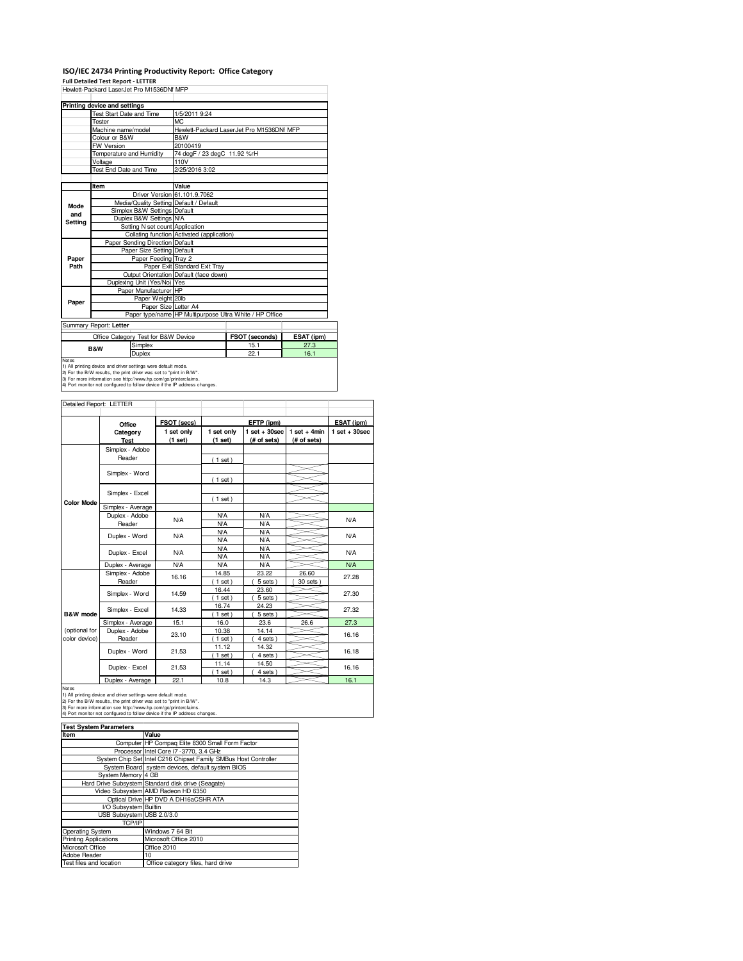## **ISO/IEC 24734 Printing Productivity Report: Office Category Full Detailed Test Report - LETTER**

|                                     | Hewlett-Packard LaserJet Pro M1536DNf MFP                                                                                                                                                                                                                                             |                                            |                                                         |            |  |  |
|-------------------------------------|---------------------------------------------------------------------------------------------------------------------------------------------------------------------------------------------------------------------------------------------------------------------------------------|--------------------------------------------|---------------------------------------------------------|------------|--|--|
|                                     | Printing device and settings                                                                                                                                                                                                                                                          |                                            |                                                         |            |  |  |
|                                     | <b>Test Start Date and Time</b>                                                                                                                                                                                                                                                       | 1/5/2011 9:24                              |                                                         |            |  |  |
|                                     | <b>Tester</b>                                                                                                                                                                                                                                                                         | M <sub>C</sub>                             |                                                         |            |  |  |
|                                     | Machine name/model                                                                                                                                                                                                                                                                    |                                            | Hewlett-Packard LaserJet Pro M1536DNf MFP               |            |  |  |
|                                     | Colour or B&W                                                                                                                                                                                                                                                                         | B&W                                        |                                                         |            |  |  |
|                                     | <b>FW Version</b>                                                                                                                                                                                                                                                                     | 20100419                                   |                                                         |            |  |  |
|                                     | Temperature and Humidity                                                                                                                                                                                                                                                              |                                            | 74 degF / 23 degC 11.92 %rH                             |            |  |  |
|                                     | Voltage                                                                                                                                                                                                                                                                               | 110V                                       |                                                         |            |  |  |
|                                     | Test End Date and Time                                                                                                                                                                                                                                                                | 2/25/2016 3:02                             |                                                         |            |  |  |
|                                     |                                                                                                                                                                                                                                                                                       |                                            |                                                         |            |  |  |
|                                     | Item                                                                                                                                                                                                                                                                                  | Value                                      |                                                         |            |  |  |
|                                     |                                                                                                                                                                                                                                                                                       | Driver Version 61.101.9.7062               |                                                         |            |  |  |
| Mode                                | Media/Quality Setting Default / Default                                                                                                                                                                                                                                               |                                            |                                                         |            |  |  |
| and<br>Setting                      | Simplex B&W Settings Default                                                                                                                                                                                                                                                          |                                            |                                                         |            |  |  |
|                                     | Duplex B&W Settings N/A                                                                                                                                                                                                                                                               |                                            |                                                         |            |  |  |
|                                     | Setting N set count Application                                                                                                                                                                                                                                                       |                                            |                                                         |            |  |  |
|                                     |                                                                                                                                                                                                                                                                                       | Collating function Activated (application) |                                                         |            |  |  |
|                                     | Paper Sending Direction Default                                                                                                                                                                                                                                                       |                                            |                                                         |            |  |  |
|                                     | Paper Size Setting Default                                                                                                                                                                                                                                                            |                                            |                                                         |            |  |  |
| Paper                               | Paper Feeding Tray 2                                                                                                                                                                                                                                                                  |                                            |                                                         |            |  |  |
| Path                                |                                                                                                                                                                                                                                                                                       | Paper Exit Standard Exit Tray              |                                                         |            |  |  |
|                                     |                                                                                                                                                                                                                                                                                       | Output Orientation Default (face down)     |                                                         |            |  |  |
|                                     | Duplexing Unit (Yes/No) Yes                                                                                                                                                                                                                                                           |                                            |                                                         |            |  |  |
|                                     | Paper Manufacturer HP                                                                                                                                                                                                                                                                 |                                            |                                                         |            |  |  |
| Paper                               | Paper Weight 20lb                                                                                                                                                                                                                                                                     |                                            |                                                         |            |  |  |
|                                     | Paper Size Letter A4                                                                                                                                                                                                                                                                  |                                            |                                                         |            |  |  |
|                                     |                                                                                                                                                                                                                                                                                       |                                            | Paper type/name HP Multipurpose Ultra White / HP Office |            |  |  |
|                                     | Summary Report: Letter                                                                                                                                                                                                                                                                |                                            |                                                         |            |  |  |
|                                     | Office Category Test for B&W Device                                                                                                                                                                                                                                                   |                                            | FSOT (seconds)                                          | ESAT (ipm) |  |  |
| Simplex<br><b>B&amp;W</b><br>Duplex |                                                                                                                                                                                                                                                                                       |                                            | 15.1                                                    | 27.3       |  |  |
|                                     |                                                                                                                                                                                                                                                                                       |                                            | 22.1                                                    | 16.1       |  |  |
| Notes                               | 1) All printing device and driver settings were default mode.<br>2) For the B/W results, the print driver was set to "print in B/W".<br>3) For more information see http://www.hp.com/go/printerclaims.<br>4) Port monitor not configured to follow device if the IP address changes. |                                            |                                                         |            |  |  |

| Detailed Report: LETTER        |                           |                       |                          |                                  |                               |                 |
|--------------------------------|---------------------------|-----------------------|--------------------------|----------------------------------|-------------------------------|-----------------|
|                                | Office                    | FSOT (secs)           |                          | EFTP (ipm)                       |                               | ESAT (ipm)      |
|                                | Category<br><b>Test</b>   | 1 set only<br>(1 set) | 1 set only<br>(1 set)    | $1$ set $+30$ sec<br>(# of sets) | $1$ set + 4min<br>(# of sets) | $1$ set + 30sec |
|                                | Simplex - Adobe<br>Reader |                       | (1 set)                  |                                  |                               |                 |
|                                | Simplex - Word            |                       | (1 set)                  |                                  |                               |                 |
|                                | Simplex - Excel           |                       |                          |                                  |                               |                 |
| <b>Color Mode</b>              | Simplex - Average         |                       | $1$ set)                 |                                  |                               |                 |
|                                | Duplex - Adobe<br>Reader  | N/A                   | <b>N/A</b><br><b>N/A</b> | <b>N/A</b><br><b>N/A</b>         |                               | N/A             |
|                                | Duplex - Word             | N/A                   | <b>N/A</b><br><b>N/A</b> | <b>N/A</b><br><b>N/A</b>         |                               | <b>N/A</b>      |
|                                | Duplex - Excel            | N/A                   | <b>N/A</b><br><b>N/A</b> | <b>N/A</b><br><b>N/A</b>         |                               | <b>N/A</b>      |
|                                | Duplex - Average          | <b>N/A</b>            | <b>N/A</b>               | <b>N/A</b>                       |                               | <b>N/A</b>      |
|                                | Simplex - Adobe<br>Reader | 16.16                 | 14.85<br>$1$ set)        | 23.22<br>5 sets                  | 26.60<br>30 sets              | 27.28           |
|                                | Simplex - Word            | 14.59                 | 16.44<br>$1$ set)        | 23.60<br>5 sets)                 |                               | 27.30           |
| B&W mode                       | Simplex - Excel           | 14.33                 | 16.74<br>$1$ set)        | 24.23<br>5 sets)                 |                               | 27.32           |
|                                | Simplex - Average         | 15.1                  | 16.0                     | 23.6                             | 26.6                          | 27.3            |
| (optional for<br>color device) | Duplex - Adobe<br>Reader  | 23.10                 | 10.38<br>$1$ set)        | 14.14<br>4 sets)                 |                               | 16.16           |
|                                | Duplex - Word             | 21.53                 | 11.12<br>$1$ set)        | 14.32<br>4 sets)                 |                               | 16.18           |
|                                | Duplex - Excel            | 21.53                 | 11.14<br>$1$ set)        | 14.50<br>4 sets)                 |                               | 16.16           |
|                                | Duplex - Average          | 22.1                  | 10.8                     | 14.3                             |                               | 16.1            |

Notes<br>1) All printing device and driver settings were default mode.<br>2) For the B/W results, the print driver was set to "print in B/W".<br>3) For more information see http://www.hp.com/go/printerclaims.<br>4) Port monitor not co

| <b>Test System Parameters</b> |                                                                 |  |  |
|-------------------------------|-----------------------------------------------------------------|--|--|
| Item                          | Value                                                           |  |  |
|                               | Computer HP Compag Elite 8300 Small Form Factor                 |  |  |
|                               | Processor Intel Core i7 -3770, 3.4 GHz                          |  |  |
|                               | System Chip Set Intel C216 Chipset Family SMBus Host Controller |  |  |
|                               | System Board system devices, default system BIOS                |  |  |
| System Memory 4 GB            |                                                                 |  |  |
|                               | Hard Drive Subsystem Standard disk drive (Seagate)              |  |  |
|                               | Video Subsystem AMD Radeon HD 6350                              |  |  |
|                               | Optical Drive HP DVD A DH16aCSHR ATA                            |  |  |
| I/O Subsystem Builtin         |                                                                 |  |  |
| USB Subsystem USB 2.0/3.0     |                                                                 |  |  |
| <b>TCP/IP</b>                 |                                                                 |  |  |
| Operating System              | Windows 7 64 Bit                                                |  |  |
| <b>Printing Applications</b>  | Microsoft Office 2010                                           |  |  |
| Microsoft Office              | Office 2010                                                     |  |  |
| Adobe Reader                  | 10                                                              |  |  |
| Test files and location       | Office category files, hard drive                               |  |  |